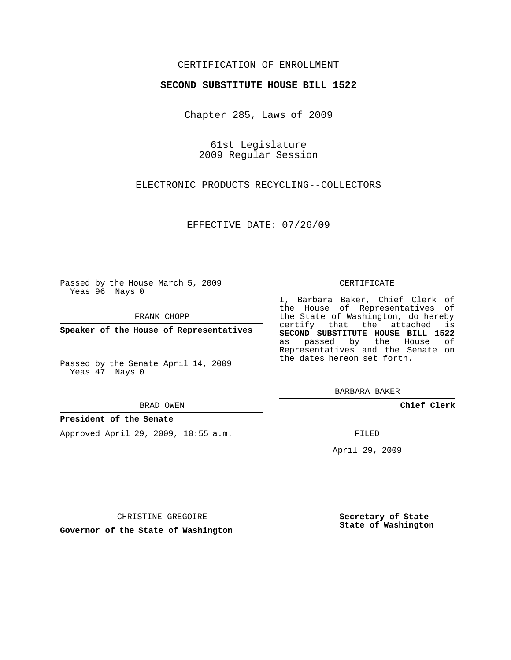## CERTIFICATION OF ENROLLMENT

## **SECOND SUBSTITUTE HOUSE BILL 1522**

Chapter 285, Laws of 2009

61st Legislature 2009 Regular Session

ELECTRONIC PRODUCTS RECYCLING--COLLECTORS

EFFECTIVE DATE: 07/26/09

Passed by the House March 5, 2009 Yeas 96 Nays 0

FRANK CHOPP

**Speaker of the House of Representatives**

Passed by the Senate April 14, 2009 Yeas 47 Nays 0

#### BRAD OWEN

### **President of the Senate**

Approved April 29, 2009, 10:55 a.m.

#### CERTIFICATE

I, Barbara Baker, Chief Clerk of the House of Representatives of the State of Washington, do hereby certify that the attached is **SECOND SUBSTITUTE HOUSE BILL 1522** as passed by the House of Representatives and the Senate on the dates hereon set forth.

BARBARA BAKER

**Chief Clerk**

FILED

April 29, 2009

**Secretary of State State of Washington**

**Governor of the State of Washington**

CHRISTINE GREGOIRE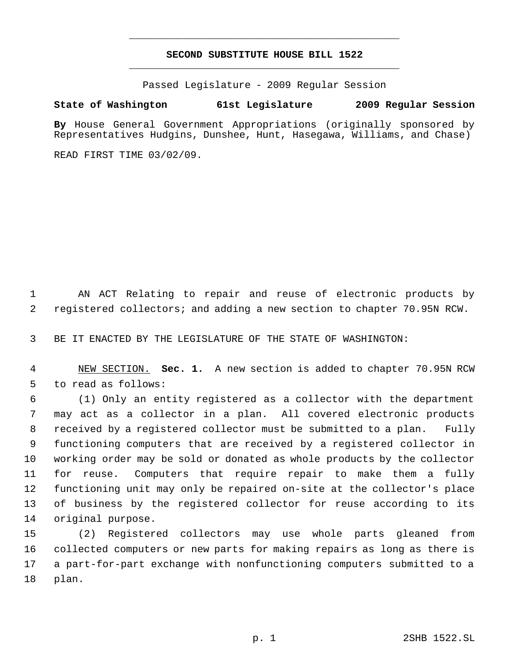# **SECOND SUBSTITUTE HOUSE BILL 1522** \_\_\_\_\_\_\_\_\_\_\_\_\_\_\_\_\_\_\_\_\_\_\_\_\_\_\_\_\_\_\_\_\_\_\_\_\_\_\_\_\_\_\_\_\_

\_\_\_\_\_\_\_\_\_\_\_\_\_\_\_\_\_\_\_\_\_\_\_\_\_\_\_\_\_\_\_\_\_\_\_\_\_\_\_\_\_\_\_\_\_

Passed Legislature - 2009 Regular Session

# **State of Washington 61st Legislature 2009 Regular Session**

**By** House General Government Appropriations (originally sponsored by Representatives Hudgins, Dunshee, Hunt, Hasegawa, Williams, and Chase)

READ FIRST TIME 03/02/09.

 AN ACT Relating to repair and reuse of electronic products by registered collectors; and adding a new section to chapter 70.95N RCW.

BE IT ENACTED BY THE LEGISLATURE OF THE STATE OF WASHINGTON:

 NEW SECTION. **Sec. 1.** A new section is added to chapter 70.95N RCW to read as follows:

 (1) Only an entity registered as a collector with the department may act as a collector in a plan. All covered electronic products received by a registered collector must be submitted to a plan. Fully functioning computers that are received by a registered collector in working order may be sold or donated as whole products by the collector for reuse. Computers that require repair to make them a fully functioning unit may only be repaired on-site at the collector's place of business by the registered collector for reuse according to its original purpose.

 (2) Registered collectors may use whole parts gleaned from collected computers or new parts for making repairs as long as there is a part-for-part exchange with nonfunctioning computers submitted to a plan.